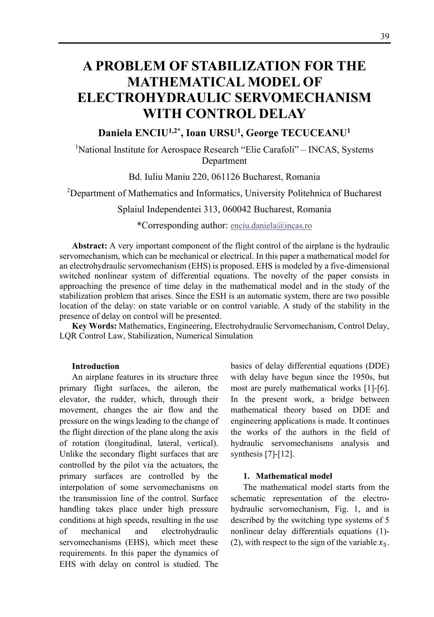# **A PROBLEM OF STABILIZATION FOR THE MATHEMATICAL MODEL OF ELECTROHYDRAULIC SERVOMECHANISM WITH CONTROL DELAY**

# **Daniela ENCIU1,2\*, Ioan URSU1 , George TECUCEANU1**

<sup>1</sup>National Institute for Aerospace Research "Elie Carafoli" – INCAS, Systems Department

Bd. Iuliu Maniu 220, 061126 Bucharest, Romania

<sup>2</sup>Department of Mathematics and Informatics, University Politehnica of Bucharest

Splaiul Independentei 313, 060042 Bucharest, Romania

\*Corresponding author: enciu.daniela@incas.ro

**Abstract:** A very important component of the flight control of the airplane is the hydraulic servomechanism, which can be mechanical or electrical. In this paper a mathematical model for an electrohydraulic servomechanism (EHS) is proposed. EHS is modeled by a five-dimensional switched nonlinear system of differential equations. The novelty of the paper consists in approaching the presence of time delay in the mathematical model and in the study of the stabilization problem that arises. Since the ESH is an automatic system, there are two possible location of the delay: on state variable or on control variable. A study of the stability in the presence of delay on control will be presented.

**Key Words:** Mathematics, Engineering, Electrohydraulic Servomechanism, Control Delay, LQR Control Law, Stabilization, Numerical Simulation

#### **Introduction**

An airplane features in its structure three primary flight surfaces, the aileron, the elevator, the rudder, which, through their movement, changes the air flow and the pressure on the wings leading to the change of the flight direction of the plane along the axis of rotation (longitudinal, lateral, vertical). Unlike the secondary flight surfaces that are controlled by the pilot via the actuators, the primary surfaces are controlled by the interpolation of some servomechanisms on the transmission line of the control. Surface handling takes place under high pressure conditions at high speeds, resulting in the use of mechanical and electrohydraulic servomechanisms (EHS), which meet these requirements. In this paper the dynamics of EHS with delay on control is studied. The

basics of delay differential equations (DDE) with delay have begun since the 1950s, but most are purely mathematical works [1]-[6]. In the present work, a bridge between mathematical theory based on DDE and engineering applications is made. It continues the works of the authors in the field of hydraulic servomechanisms analysis and synthesis [7]-[12].

#### **1. Mathematical model**

The mathematical model starts from the schematic representation of the electrohydraulic servomechanism, Fig. 1, and is described by the switching type systems of 5 nonlinear delay differentials equations (1)- (2), with respect to the sign of the variable  $x_5$ .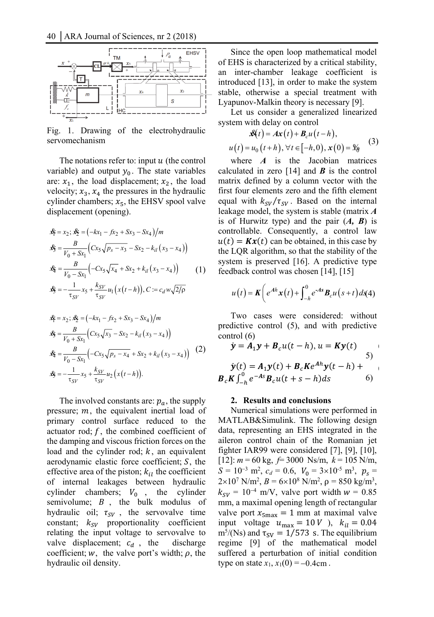

Fig. 1. Drawing of the electrohydraulic servomechanism

The notations refer to: input  $u$  (the control variable) and output  $y_0$ . The state variables are:  $x_1$ , the load displacement;  $x_2$ , the load velocity;  $x_3$ ,  $x_4$  the pressures in the hydraulic cylinder chambers;  $x_5$ , the EHSV spool valve displacement (opening).

$$
\mathbf{\hat{x}}_1^2 = x_2; \mathbf{\hat{x}}_2^2 = (-kx_1 - f x_2 + S x_3 - S x_4)/m
$$
  
\n
$$
\mathbf{\hat{x}}_3^2 = \frac{B}{V_0 + S x_1} \left( C x_5 \sqrt{p_s - x_3} - S x_2 - k_{il} (x_3 - x_4) \right)
$$
  
\n
$$
\mathbf{\hat{x}}_4^2 = \frac{B}{V_0 - S x_1} \left( -C x_5 \sqrt{x_4} + S x_2 + k_{il} (x_3 - x_4) \right)
$$
(1)

$$
\mathbf{x}_5 = -\frac{1}{\tau_{SV}} x_5 + \frac{k_{SV}}{\tau_{SV}} u_1(x(t-h)), \quad C = c_d w \sqrt{2/\rho}
$$

$$
\mathbf{\hat{x}}_1 = x_2; \mathbf{\hat{x}}_2 = (-kx_1 - f x_2 + S x_3 - S x_4)/m
$$
  
\n
$$
\mathbf{\hat{x}}_3 = \frac{B}{V_0 + S x_1} \Big( C x_5 \sqrt{x_3} - S x_2 - k_{il} (x_3 - x_4) \Big)
$$
  
\n
$$
\mathbf{\hat{x}}_4 = \frac{B}{V_0 - S x_1} \Big( -C x_5 \sqrt{p_s - x_4} + S x_2 + k_{il} (x_3 - x_4) \Big) \tag{2}
$$
  
\n
$$
\mathbf{\hat{x}}_5 = -\frac{1}{\tau_{SV}} x_5 + \frac{k_{SV}}{\tau_{SV}} u_2 (x(t - h)).
$$

The involved constants are:  $p_a$ , the supply pressure;  $m$ , the equivalent inertial load of primary control surface reduced to the actuator rod;  $f$ , the combined coefficient of the damping and viscous friction forces on the load and the cylinder rod;  $k$ , an equivalent aerodynamic elastic force coefficient;  $S$ , the effective area of the piston;  $k_{ij}$  the coefficient of internal leakages between hydraulic cylinder chambers;  $V_0$ , the cylinder semivolume;  $B$ , the bulk modulus of hydraulic oil;  $\tau_{SV}$ , the servovalve time constant;  $k_{SV}$  proportionality coefficient relating the input voltage to servovalve to valve displacement;  $c_d$ , the discharge coefficient;  $w$ , the valve port's width;  $\rho$ , the hydraulic oil density.

Since the open loop mathematical model of EHS is characterized by a critical stability, an inter-chamber leakage coefficient is introduced [13], in order to make the system stable, otherwise a special treatment with Lyapunov-Malkin theory is necessary [9].

Let us consider a generalized linearized system with delay on control

$$
\mathcal{K}(t) = A\mathbf{x}(t) + B_c u(t-h),
$$
  
 
$$
u(t) = u_0(t+h), \forall t \in [-h, 0), \mathbf{x}(0) = \mathcal{K}_\theta
$$
 (3)

where *A* is the Jacobian matrices calculated in zero  $[14]$  and *B* is the control matrix defined by a column vector with the first four elements zero and the fifth element equal with  $k_{SV}/\tau_{SV}$ . Based on the internal leakage model, the system is stable (matrix *A* is of Hurwitz type) and the pair (*A, B*) is controllable. Consequently, a control law  $u(t) = Kx(t)$  can be obtained, in this case by the LQR algorithm, so that the stability of the system is preserved [16]. A predictive type feedback control was chosen [14], [15]

$$
u(t) = K\bigg(e^{Ah}x(t) + \int_{-h}^{0} e^{-As}B_c u(s+t)ds(4)
$$

Two cases were considered: without predictive control (5), and with predictive control (6)

$$
\dot{y} = A_1 y + B_c u(t - h), u = Ky(t)
$$
  
\n
$$
\dot{y}(t) = A_1 y(t) + B_c K e^{Ah} y(t - h) +
$$
  
\n
$$
B_c K \int_{-h}^{0} e^{-As} B_c u(t + s - h) ds
$$

#### **2. Results and conclusions**

Numerical simulations were performed in MATLAB&Simulink. The following design data, representing an EHS integrated in the aileron control chain of the Romanian jet fighter IAR99 were considered [7], [9], [10], [12]: *m* = 60 kg, *f*= 3000 Ns/m, *k* = 105 N/m,  $S = 10^{-3}$  m<sup>2</sup>,  $c_d = 0.6$ ,  $V_0 = 3 \times 10^{-5}$  m<sup>3</sup>,  $p_s =$  $2 \times 10^7$  N/m<sup>2</sup>,  $B = 6 \times 10^8$  N/m<sup>2</sup>,  $\rho = 850$  kg/m<sup>3</sup>,  $k_{SV}$  = 10<sup>-4</sup> m/V, valve port width  $w = 0.85$ mm, a maximal opening length of rectangular valve port  $x_{\text{Smax}} = 1$  mm at maximal valve input voltage  $u_{\text{max}} = 10 \text{ V}$ ),  $k_{il} = 0.04$  $m^5/(Ns)$  and  $\tau_{SV} = 1/573$  s. The equilibrium regime [9] of the mathematical model suffered a perturbation of initial condition type on state  $x_1$ ,  $x_1(0) = -0.4$ cm.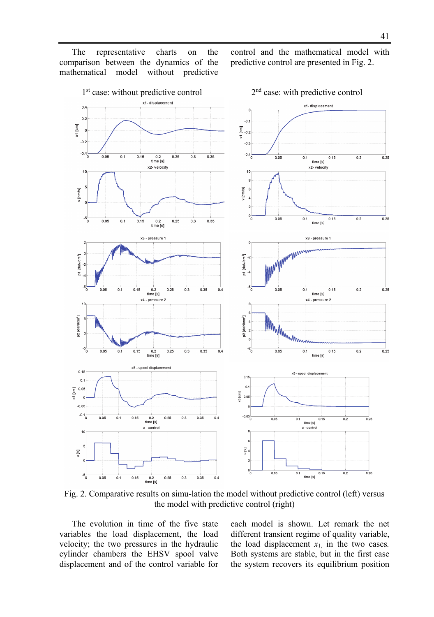The representative charts on the comparison between the dynamics of the mathematical model without predictive

control and the mathematical model with predictive control are presented in Fig. 2.



Fig. 2. Comparative results on simu-lation the model without predictive control (left) versus the model with predictive control (right)

The evolution in time of the five state variables the load displacement, the load velocity; the two pressures in the hydraulic cylinder chambers the EHSV spool valve displacement and of the control variable for each model is shown. Let remark the net different transient regime of quality variable, the load displacement  $x_1$ , in the two cases. Both systems are stable, but in the first case the system recovers its equilibrium position